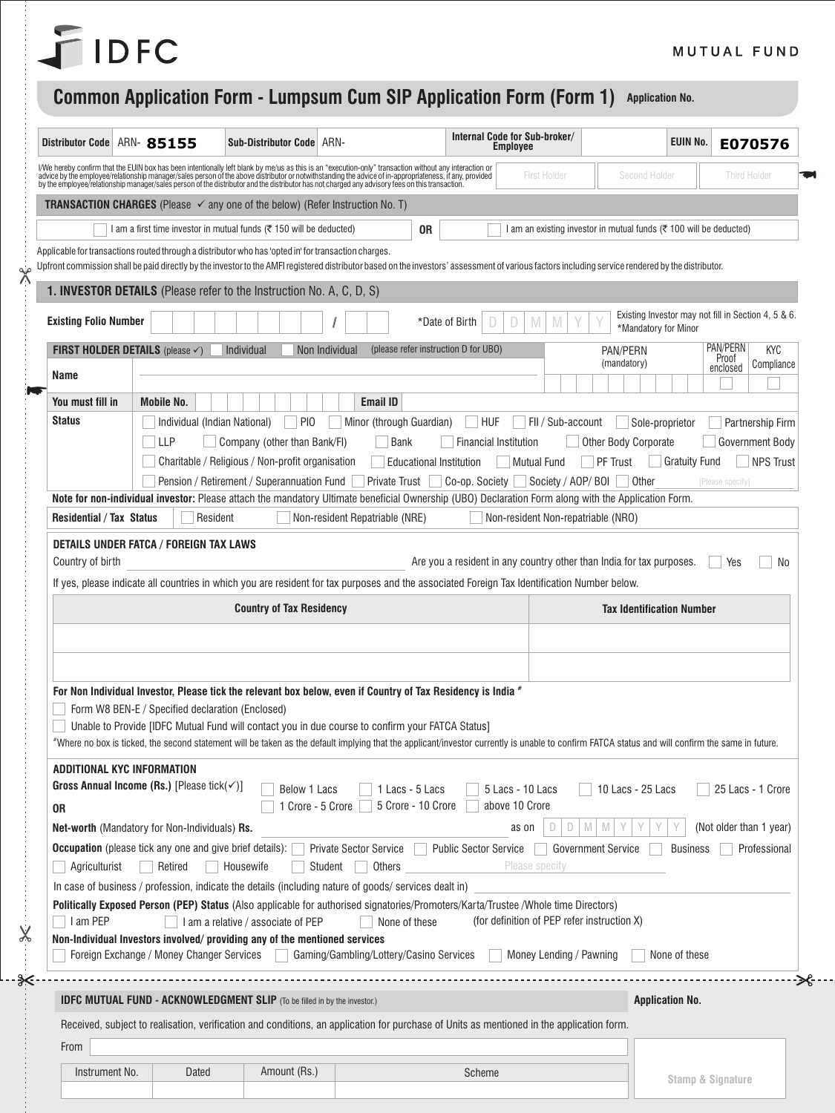## FIDFC

 $\frac{1}{2}$ 

 $X$ 

 $\frac{9}{6}$ 

## **Common Application Form - Lumpsum Cum SIP Application Form (Form 1) Application No.**

| Distributor Code                                                                                                      | ARN- 85155                                              | Sub-Distributor Code ARN-                                                                            |                                                                                                                                                                                                                                   |                              | Internal Code for Sub-broker/<br><b>Employee</b> |                                                                    | <b>EUIN No.</b>      | E070576                                             |  |  |
|-----------------------------------------------------------------------------------------------------------------------|---------------------------------------------------------|------------------------------------------------------------------------------------------------------|-----------------------------------------------------------------------------------------------------------------------------------------------------------------------------------------------------------------------------------|------------------------------|--------------------------------------------------|--------------------------------------------------------------------|----------------------|-----------------------------------------------------|--|--|
|                                                                                                                       |                                                         |                                                                                                      | I/We hereby confirm that the EUIN box has been intentionally left blank by me/us as this is an "execution-only" transaction without any interaction or<br>advice by the employee/relationship manager/sales person of the above d |                              | First Holder                                     | Second Holder                                                      |                      | <b>Third Holder</b>                                 |  |  |
|                                                                                                                       |                                                         | <b>TRANSACTION CHARGES</b> (Please √ any one of the below) (Refer Instruction No. T)                 |                                                                                                                                                                                                                                   |                              |                                                  |                                                                    |                      |                                                     |  |  |
|                                                                                                                       |                                                         | I am a first time investor in mutual funds ( $\overline{\tau}$ 150 will be deducted)                 | 0R                                                                                                                                                                                                                                |                              |                                                  | l am an existing investor in mutual funds (₹ 100 will be deducted) |                      |                                                     |  |  |
|                                                                                                                       |                                                         | Applicable for transactions routed through a distributor who has 'opted in' for transaction charges. |                                                                                                                                                                                                                                   |                              |                                                  |                                                                    |                      |                                                     |  |  |
|                                                                                                                       |                                                         |                                                                                                      | Upfront commission shall be paid directly by the investor to the AMFI registered distributor based on the investors' assessment of various factors including service rendered by the distributor.                                 |                              |                                                  |                                                                    |                      |                                                     |  |  |
|                                                                                                                       |                                                         | 1. INVESTOR DETAILS (Please refer to the Instruction No. A, C, D, S)                                 |                                                                                                                                                                                                                                   |                              |                                                  |                                                                    |                      |                                                     |  |  |
| <b>Existing Folio Number</b>                                                                                          |                                                         |                                                                                                      |                                                                                                                                                                                                                                   | *Date of Birth               | M<br>D<br>M                                      | *Mandatory for Minor                                               |                      | Existing Investor may not fill in Section 4, 5 & 6. |  |  |
|                                                                                                                       | <b>FIRST HOLDER DETAILS</b> (please $\checkmark$ )      | Individual                                                                                           | Non Individual<br>(please refer instruction D for UBO)                                                                                                                                                                            |                              |                                                  | PAN/PERN<br>(mandatory)                                            |                      | PAN/PERN<br>KYC<br>Proof                            |  |  |
| Name                                                                                                                  |                                                         |                                                                                                      |                                                                                                                                                                                                                                   |                              |                                                  |                                                                    |                      | Compliance<br>enclosed                              |  |  |
| You must fill in                                                                                                      | <b>Mobile No.</b>                                       |                                                                                                      | <b>Email ID</b>                                                                                                                                                                                                                   |                              |                                                  |                                                                    |                      |                                                     |  |  |
| <b>Status</b>                                                                                                         |                                                         | PI <sub>0</sub><br>Individual (Indian National)                                                      | Minor (through Guardian)                                                                                                                                                                                                          | <b>HUF</b>                   | Fil / Sub-account                                | Sole-proprietor                                                    |                      | Partnership Firm                                    |  |  |
|                                                                                                                       | <b>LLP</b>                                              | Company (other than Bank/FI)                                                                         | Bank                                                                                                                                                                                                                              | <b>Financial Institution</b> |                                                  | <b>Other Body Corporate</b>                                        |                      | Government Body                                     |  |  |
|                                                                                                                       |                                                         | Charitable / Religious / Non-profit organisation                                                     | <b>Educational Institution</b>                                                                                                                                                                                                    |                              | Mutual Fund                                      | <b>PF Trust</b>                                                    | <b>Gratuity Fund</b> | <b>NPS Trust</b>                                    |  |  |
|                                                                                                                       |                                                         | Pension / Retirement / Superannuation Fund                                                           | <b>Private Trust</b><br>Note for non-individual investor: Please attach the mandatory Ultimate beneficial Ownership (UBO) Declaration Form along with the Application Form.                                                       | Co-op. Society               | Society / AOP/ BOI                               | Other                                                              |                      | [Please specify]                                    |  |  |
| <b>Residential / Tax Status</b>                                                                                       |                                                         | Resident                                                                                             | Non-resident Repatriable (NRE)                                                                                                                                                                                                    |                              | Non-resident Non-repatriable (NRO)               |                                                                    |                      |                                                     |  |  |
|                                                                                                                       |                                                         |                                                                                                      |                                                                                                                                                                                                                                   |                              |                                                  |                                                                    |                      |                                                     |  |  |
| <b>DETAILS UNDER FATCA / FOREIGN TAX LAWS</b><br>Are you a resident in any country other than India for tax purposes. |                                                         |                                                                                                      |                                                                                                                                                                                                                                   |                              |                                                  |                                                                    |                      |                                                     |  |  |
| Country of birth                                                                                                      |                                                         |                                                                                                      |                                                                                                                                                                                                                                   |                              |                                                  |                                                                    |                      | Yes                                                 |  |  |
|                                                                                                                       |                                                         |                                                                                                      | If yes, please indicate all countries in which you are resident for tax purposes and the associated Foreign Tax Identification Number below.                                                                                      |                              |                                                  |                                                                    |                      | No                                                  |  |  |
|                                                                                                                       |                                                         | <b>Country of Tax Residency</b>                                                                      |                                                                                                                                                                                                                                   |                              |                                                  | <b>Tax Identification Number</b>                                   |                      |                                                     |  |  |
|                                                                                                                       |                                                         |                                                                                                      |                                                                                                                                                                                                                                   |                              |                                                  |                                                                    |                      |                                                     |  |  |
|                                                                                                                       |                                                         |                                                                                                      |                                                                                                                                                                                                                                   |                              |                                                  |                                                                    |                      |                                                     |  |  |
|                                                                                                                       |                                                         |                                                                                                      |                                                                                                                                                                                                                                   |                              |                                                  |                                                                    |                      |                                                     |  |  |
|                                                                                                                       |                                                         |                                                                                                      | For Non Individual Investor, Please tick the relevant box below, even if Country of Tax Residency is India *                                                                                                                      |                              |                                                  |                                                                    |                      |                                                     |  |  |
|                                                                                                                       | Form W8 BEN-E / Specified declaration (Enclosed)        |                                                                                                      | Unable to Provide [IDFC Mutual Fund will contact you in due course to confirm your FATCA Status]                                                                                                                                  |                              |                                                  |                                                                    |                      |                                                     |  |  |
|                                                                                                                       |                                                         |                                                                                                      | *Where no box is ticked, the second statement will be taken as the default implying that the applicant/investor currently is unable to confirm FATCA status and will confirm the same in future.                                  |                              |                                                  |                                                                    |                      |                                                     |  |  |
|                                                                                                                       | ADDITIONAL KYC INFORMATION                              |                                                                                                      |                                                                                                                                                                                                                                   |                              |                                                  |                                                                    |                      |                                                     |  |  |
|                                                                                                                       | Gross Annual Income (Rs.) [Please tick( $\checkmark$ )] | Below 1 Lacs                                                                                         | 1 Lacs - 5 Lacs                                                                                                                                                                                                                   |                              | 5 Lacs - 10 Lacs                                 | 10 Lacs - 25 Lacs                                                  |                      | 25 Lacs - 1 Crore                                   |  |  |
| 0R                                                                                                                    |                                                         |                                                                                                      | 5 Crore - 10 Crore<br>1 Crore - 5 Crore                                                                                                                                                                                           |                              | above 10 Crore                                   |                                                                    |                      |                                                     |  |  |
|                                                                                                                       | Net-worth (Mandatory for Non-Individuals) Rs.           |                                                                                                      |                                                                                                                                                                                                                                   |                              | D<br>D<br>as on                                  | M<br>M                                                             |                      | (Not older than 1 year)                             |  |  |
| Agriculturist                                                                                                         | Retired                                                 | <b>Occupation</b> (please tick any one and give brief details):<br>Housewife<br>$\mathcal{L}$        | Private Sector Service   Public Sector Service<br>Others<br>Student                                                                                                                                                               |                              | Please specify                                   | <b>Government Service</b>                                          | <b>Business</b>      | Professional                                        |  |  |
|                                                                                                                       |                                                         |                                                                                                      | In case of business / profession, indicate the details (including nature of goods/ services dealt in)                                                                                                                             |                              |                                                  |                                                                    |                      |                                                     |  |  |
|                                                                                                                       |                                                         |                                                                                                      | Politically Exposed Person (PEP) Status (Also applicable for authorised signatories/Promoters/Karta/Trustee /Whole time Directors)                                                                                                |                              |                                                  |                                                                    |                      |                                                     |  |  |
| I am PEP                                                                                                              |                                                         | I am a relative / associate of PEP                                                                   | None of these                                                                                                                                                                                                                     |                              | (for definition of PEP refer instruction X)      |                                                                    |                      |                                                     |  |  |
|                                                                                                                       | Foreign Exchange / Money Changer Services               | Non-Individual Investors involved/ providing any of the mentioned services                           | Gaming/Gambling/Lottery/Casino Services                                                                                                                                                                                           |                              | Money Lending / Pawning                          |                                                                    | None of these        |                                                     |  |  |
|                                                                                                                       |                                                         |                                                                                                      | .                                                                                                                                                                                                                                 |                              |                                                  |                                                                    |                      |                                                     |  |  |
|                                                                                                                       |                                                         | <b>IDFC MUTUAL FUND - ACKNOWLEDGMENT SLIP</b> (To be filled in by the investor.)                     |                                                                                                                                                                                                                                   |                              |                                                  | <b>Application No.</b>                                             |                      |                                                     |  |  |
|                                                                                                                       |                                                         |                                                                                                      | Received, subject to realisation, verification and conditions, an application for purchase of Units as mentioned in the application form.                                                                                         |                              |                                                  |                                                                    |                      |                                                     |  |  |
| From                                                                                                                  |                                                         |                                                                                                      |                                                                                                                                                                                                                                   |                              |                                                  |                                                                    |                      |                                                     |  |  |
| Instrument No.                                                                                                        | Dated                                                   | Amount (Rs.)                                                                                         |                                                                                                                                                                                                                                   | Scheme                       |                                                  |                                                                    | Stamp & Signature    |                                                     |  |  |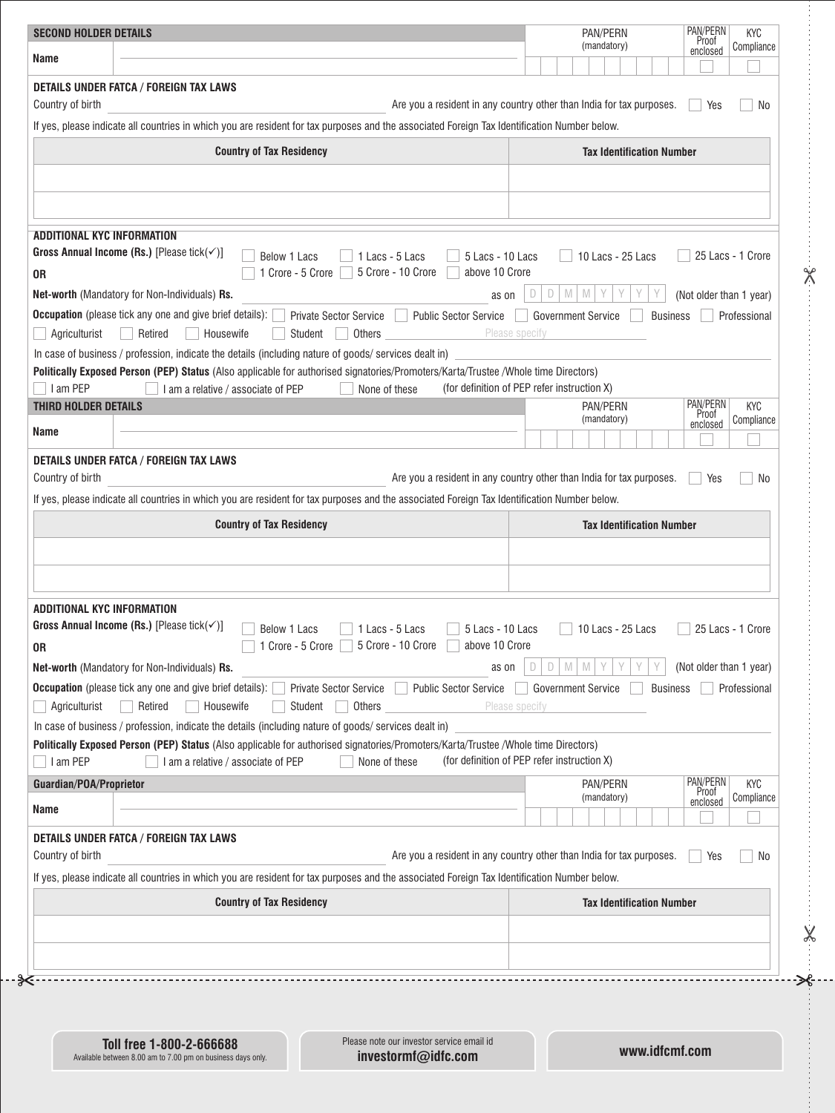| <b>SECOND HOLDER DETAILS</b> |                                                                                                                                                                                                                                             | PAN/PERN<br>PAN/PERN<br><b>KYC</b><br><b>Proof</b><br>(mandatory)<br>Compliance<br>enclosed |
|------------------------------|---------------------------------------------------------------------------------------------------------------------------------------------------------------------------------------------------------------------------------------------|---------------------------------------------------------------------------------------------|
| Name                         |                                                                                                                                                                                                                                             |                                                                                             |
| Country of birth             | DETAILS UNDER FATCA / FOREIGN TAX LAWS                                                                                                                                                                                                      | Are you a resident in any country other than India for tax purposes.<br>Yes<br>No           |
|                              | If yes, please indicate all countries in which you are resident for tax purposes and the associated Foreign Tax Identification Number below.                                                                                                |                                                                                             |
|                              | <b>Country of Tax Residency</b>                                                                                                                                                                                                             | <b>Tax Identification Number</b>                                                            |
|                              |                                                                                                                                                                                                                                             |                                                                                             |
|                              | ADDITIONAL KYC INFORMATION                                                                                                                                                                                                                  |                                                                                             |
| 0R                           | Gross Annual Income (Rs.) [Please tick( $\checkmark$ )]<br>Below 1 Lacs<br>1 Lacs - 5 Lacs<br>5 Lacs - 10 Lacs<br>5 Crore - 10 Crore<br>above 10 Crore<br>1 Crore - 5 Crore                                                                 | 25 Lacs - 1 Crore<br>10 Lacs - 25 Lacs                                                      |
|                              | Net-worth (Mandatory for Non-Individuals) Rs.<br>as on                                                                                                                                                                                      | $\mathbb{M}$ $\mathbb{M}$<br>D<br>$\Box$<br>(Not older than 1 year)                         |
| Agriculturist                | <b>Occupation</b> (please tick any one and give brief details):<br>Private Sector Service<br><b>Public Sector Service</b><br>Student<br>Others<br>Retired<br>Housewife                                                                      | <b>Government Service</b><br><b>Business</b><br>Professional<br>Please specify              |
|                              | In case of business / profession, indicate the details (including nature of goods/ services dealt in)<br>Politically Exposed Person (PEP) Status (Also applicable for authorised signatories/Promoters/Karta/Trustee /Whole time Directors) |                                                                                             |
| I am PEP                     | I am a relative / associate of PEP<br>None of these                                                                                                                                                                                         | (for definition of PEP refer instruction X)                                                 |
| <b>THIRD HOLDER DETAILS</b>  |                                                                                                                                                                                                                                             | PAN/PERN<br>PAN/PERN<br><b>KYC</b><br>Proof                                                 |
| Name                         |                                                                                                                                                                                                                                             | (mandatory)<br>Compliance<br>enclosed                                                       |
|                              |                                                                                                                                                                                                                                             |                                                                                             |
| Country of birth             | DETAILS UNDER FATCA / FOREIGN TAX LAWS                                                                                                                                                                                                      | Are you a resident in any country other than India for tax purposes.<br>Yes<br>No           |
|                              | If yes, please indicate all countries in which you are resident for tax purposes and the associated Foreign Tax Identification Number below.                                                                                                |                                                                                             |
|                              | <b>Country of Tax Residency</b>                                                                                                                                                                                                             | <b>Tax Identification Number</b>                                                            |
|                              |                                                                                                                                                                                                                                             |                                                                                             |
| 0R                           | ADDITIONAL KYC INFORMATION<br>Gross Annual Income (Rs.) [Please tick( $\checkmark$ )]<br>Below 1 Lacs<br>1 Lacs - 5 Lacs<br>5 Lacs - 10 Lacs<br>1 Crore - 5 Crore 5 Crore - 10 Crore<br>above 10 Crore                                      | 10 Lacs - 25 Lacs<br>25 Lacs - 1 Crore                                                      |
|                              | Net-worth (Mandatory for Non-Individuals) Rs.<br>as on                                                                                                                                                                                      | (Not older than 1 year)<br>M<br>D<br>D<br>M                                                 |
| Agriculturist                | <b>Occupation</b> (please tick any one and give brief details):<br><b>Public Sector Service</b><br>Private Sector Service<br>Retired<br>Housewife<br>Others<br>Student                                                                      | Professional<br>Government Service<br><b>Business</b><br>Please specify                     |
|                              | In case of business / profession, indicate the details (including nature of goods/ services dealt in)                                                                                                                                       |                                                                                             |
| I am PEP                     | Politically Exposed Person (PEP) Status (Also applicable for authorised signatories/Promoters/Karta/Trustee /Whole time Directors)<br>None of these<br>I am a relative / associate of PEP                                                   | (for definition of PEP refer instruction X)                                                 |
| Guardian/POA/Proprietor      |                                                                                                                                                                                                                                             | PAN/PERN<br>PAN/PERN<br><b>KYC</b>                                                          |
| Name                         |                                                                                                                                                                                                                                             | Proof<br>(mandatory)<br>Compliance<br>enclosed                                              |
|                              | DETAILS UNDER FATCA / FOREIGN TAX LAWS                                                                                                                                                                                                      |                                                                                             |
| Country of birth             |                                                                                                                                                                                                                                             | Are you a resident in any country other than India for tax purposes.<br>Yes<br>No           |
|                              | If yes, please indicate all countries in which you are resident for tax purposes and the associated Foreign Tax Identification Number below.<br><b>Country of Tax Residency</b>                                                             | <b>Tax Identification Number</b>                                                            |
|                              |                                                                                                                                                                                                                                             |                                                                                             |
|                              |                                                                                                                                                                                                                                             |                                                                                             |

**Toll free 1-800-2-666688** Available between 8.00 am to 7.00 pm on business days only. Please note our investor service email id **investormf@idfc.com**

**www.idfcmf.com**

 $\frac{1}{2}$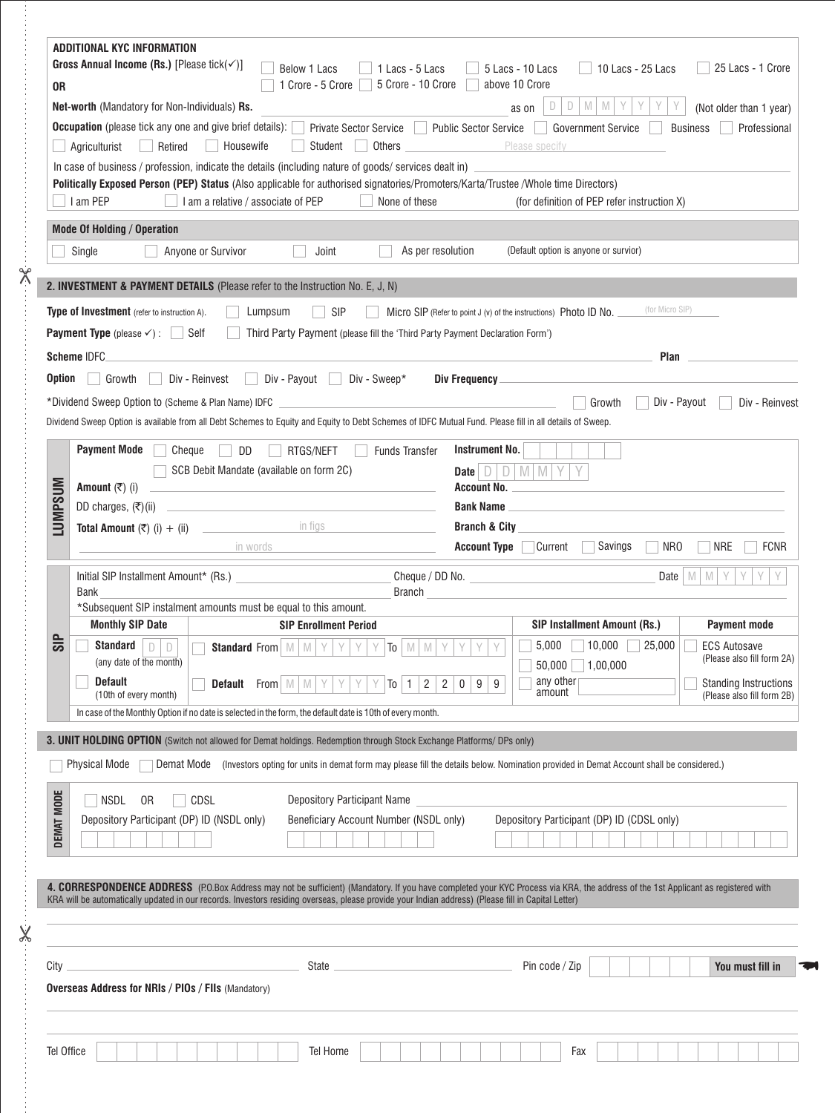| 0R             | ADDITIONAL KYC INFORMATION<br>Gross Annual Income (Rs.) [Please tick( $\checkmark$ )]<br>Below 1 Lacs<br>1 Lacs - 5 Lacs<br>1 Crore - 5 Crore<br>5 Crore - 10 Crore<br><b>Net-worth</b> (Mandatory for Non-Individuals) <b>Rs.</b><br>Occupation (please tick any one and give brief details):<br>Private Sector Service<br>Retired<br>Housewife<br>Student<br>Others<br>Agriculturist<br>In case of business / profession, indicate the details (including nature of goods/ services dealt in)<br>Politically Exposed Person (PEP) Status (Also applicable for authorised signatories/Promoters/Karta/Trustee/Whole time Directors)<br>I am PEP<br>I am a relative / associate of PEP<br>None of these<br><b>Mode Of Holding / Operation</b><br>As per resolution<br>Anyone or Survivor<br>Joint<br>Single<br>2. INVESTMENT & PAYMENT DETAILS (Please refer to the Instruction No. E, J, N) | 25 Lacs - 1 Crore<br>10 Lacs - 25 Lacs<br>5 Lacs - 10 Lacs<br>above 10 Crore<br>D<br>D<br>M<br>M<br>Y<br>(Not older than 1 year)<br>as on<br><b>Public Sector Service</b><br><b>Government Service</b><br><b>Business</b><br>Professional<br>Please specify<br>the control of the control of the<br>(for definition of PEP refer instruction X)<br>(Default option is anyone or survior) |
|----------------|----------------------------------------------------------------------------------------------------------------------------------------------------------------------------------------------------------------------------------------------------------------------------------------------------------------------------------------------------------------------------------------------------------------------------------------------------------------------------------------------------------------------------------------------------------------------------------------------------------------------------------------------------------------------------------------------------------------------------------------------------------------------------------------------------------------------------------------------------------------------------------------------|------------------------------------------------------------------------------------------------------------------------------------------------------------------------------------------------------------------------------------------------------------------------------------------------------------------------------------------------------------------------------------------|
| <b>Option</b>  | Type of Investment (refer to instruction A).<br><b>SIP</b><br>Lumpsum<br><b>Payment Type</b> (please $\checkmark$ ) : $\Box$ Self<br>Third Party Payment (please fill the 'Third Party Payment Declaration Form')<br>Scheme IDFC<br>Div - Reinvest<br>Div - Payout Div - Sweep*<br>Growth<br>*Dividend Sweep Option to (Scheme & Plan Name) IDFC <b>CONFIDENT</b>                                                                                                                                                                                                                                                                                                                                                                                                                                                                                                                            | (for Micro SIP)<br>Micro SIP (Refer to point J (v) of the instructions) Photo ID No.<br>Plan<br>Div - Reinvest<br>Div - Payout<br>Growth                                                                                                                                                                                                                                                 |
| <b>LUMPSUM</b> | Dividend Sweep Option is available from all Debt Schemes to Equity and Equity to Debt Schemes of IDFC Mutual Fund. Please fill in all details of Sweep.<br><b>Payment Mode</b><br>Cheque<br>DD<br>RTGS/NEFT<br><b>Funds Transfer</b><br>SCB Debit Mandate (available on form 2C)<br>the control of the control of the control of the control of the control of the control of<br>Amount $(\overline{\tau})$ (i)<br>DD charges, $(\overline{\tau})$ (ii)<br>in words                                                                                                                                                                                                                                                                                                                                                                                                                          | <b>Instrument No.</b><br>$D$ M<br>Date $\Box$<br><b>Account No.</b><br><b>Bank Name</b><br><b>Branch &amp; City</b><br>Savings<br><b>Account Type Current</b><br>NR <sub>0</sub><br><b>NRE</b><br><b>FCNR</b>                                                                                                                                                                            |
| $\frac{1}{3}$  | Initial SIP Installment Amount* (Rs.)<br><b>Bank</b><br><b>Branch</b><br>*Subsequent SIP instalment amounts must be equal to this amount.<br><b>Monthly SIP Date</b><br><b>SIP Enrollment Period</b><br>Standard<br>Y<br>D<br>D<br><b>Standard</b> From $\vert M \vert M \vert Y \vert$<br>Y<br>Y<br>$T_0$ M M<br>(any date of the month)<br><b>Default</b><br>Y<br>$\overline{2}$<br><b>Default</b> From $\mathbb{M}$ $\mathbb{M}$<br>$\mathbf{1}$<br>To<br>(10th of every month)                                                                                                                                                                                                                                                                                                                                                                                                           | Date $\vert$ M $\vert$ M $\vert$ Y<br><b>SIP Installment Amount (Rs.)</b><br><b>Payment mode</b><br>10,000<br>5,000<br>25,000<br><b>ECS Autosave</b><br>Y<br>Y<br>Υ<br>(Please also fill form 2A)<br>50,000 1,00,000<br>any other<br>$\overline{2}$<br>9<br><b>Standing Instructions</b><br>$\mathbf 0$<br>9<br>amount<br>(Please also fill form 2B)                                     |
|                | In case of the Monthly Option if no date is selected in the form, the default date is 10th of every month.<br><b>3. UNIT HOLDING OPTION</b> (Switch not allowed for Demat holdings. Redemption through Stock Exchange Platforms/ DPs only)<br>Physical Mode<br>Demat Mode (Investors opting for units in demat form may please fill the details below. Nomination provided in Demat Account shall be considered.)                                                                                                                                                                                                                                                                                                                                                                                                                                                                            |                                                                                                                                                                                                                                                                                                                                                                                          |
| DEMAT MODE     | <b>Depository Participant Name</b><br><b>NSDL</b><br>0R<br>CDSL<br>Depository Participant (DP) ID (NSDL only)<br>Beneficiary Account Number (NSDL only)                                                                                                                                                                                                                                                                                                                                                                                                                                                                                                                                                                                                                                                                                                                                      | Depository Participant (DP) ID (CDSL only)                                                                                                                                                                                                                                                                                                                                               |
|                | 4. CORRESPONDENCE ADDRESS (P.O.Box Address may not be sufficient) (Mandatory. If you have completed your KYC Process via KRA, the address of the 1st Applicant as registered with<br>KRA will be automatically updated in our records. Investors residing overseas, please provide your Indian address) (Please fill in Capital Letter)                                                                                                                                                                                                                                                                                                                                                                                                                                                                                                                                                      |                                                                                                                                                                                                                                                                                                                                                                                          |
| City           | <u> 1980 - Johann Barn, mars ann an t-Amhain ann an t-Amhain an t-Amhain an t-Amhain an t-Amhain an t-Amhain an t-</u><br>State<br><b>Overseas Address for NRIs / PIOs / FIIs (Mandatory)</b>                                                                                                                                                                                                                                                                                                                                                                                                                                                                                                                                                                                                                                                                                                | Pin code / Zip<br>You must fill in                                                                                                                                                                                                                                                                                                                                                       |
| Tel Office     | Tel Home                                                                                                                                                                                                                                                                                                                                                                                                                                                                                                                                                                                                                                                                                                                                                                                                                                                                                     | Fax                                                                                                                                                                                                                                                                                                                                                                                      |

 $\rightarrow$ 

 $-8$